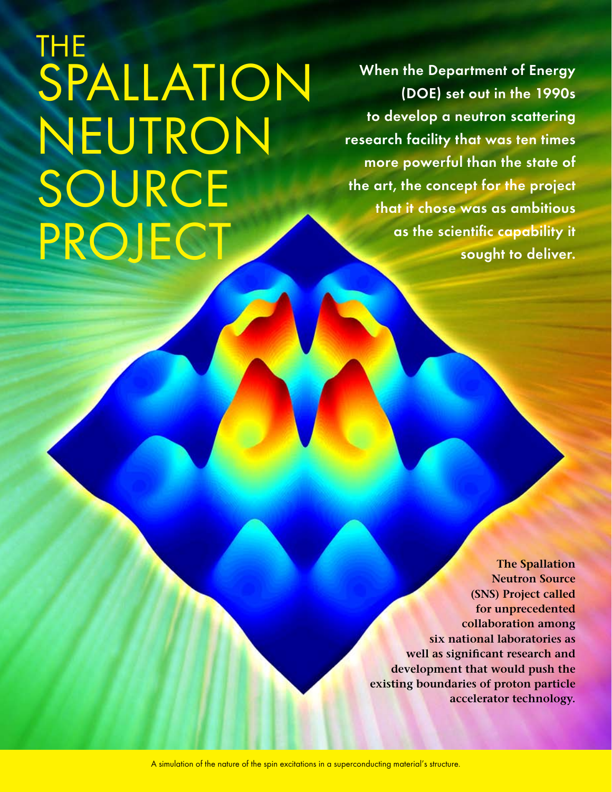# The Spallation Neutron **SOURCE** PROJECT

**When the Department of Energy (DOE) set out in the 1990s to develop a neutron scattering research facility that was ten times more powerful than the state of the art, the concept for the project that it chose was as ambitious as the scientific capability it sought to deliver.**

> **The Spallation Neutron Source (SNS) Project called for unprecedented collaboration among six national laboratories as well as significant research and development that would push the existing boundaries of proton particle accelerator technology.**

A simulation of the nature of the spin excitations in a superconducting material's structure.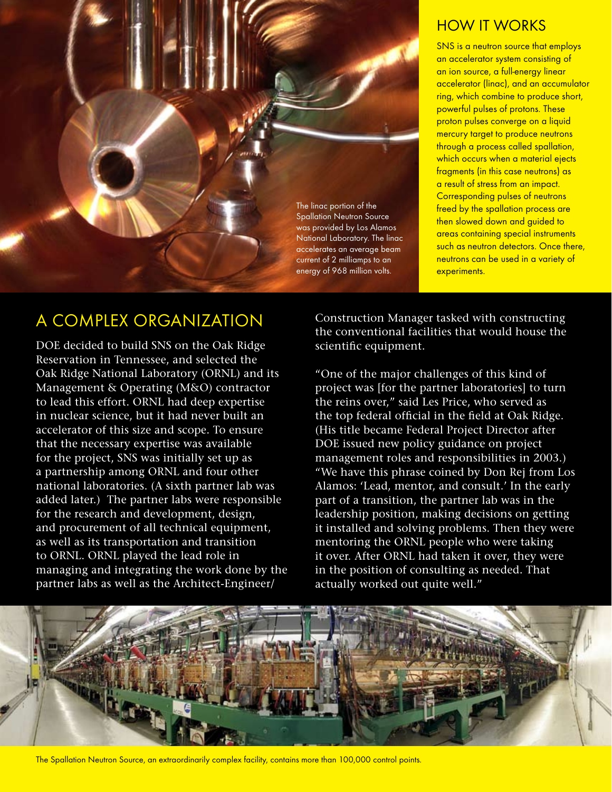

### How It Works

SNS is a neutron source that employs an accelerator system consisting of an ion source, a full-energy linear accelerator (linac), and an accumulator ring, which combine to produce short, powerful pulses of protons. These proton pulses converge on a liquid mercury target to produce neutrons through a process called spallation, which occurs when a material ejects fragments (in this case neutrons) as a result of stress from an impact. Corresponding pulses of neutrons freed by the spallation process are then slowed down and guided to areas containing special instruments such as neutron detectors. Once there, neutrons can be used in a variety of experiments.

# A Complex Organization

DOE decided to build SNS on the Oak Ridge Reservation in Tennessee, and selected the Oak Ridge National Laboratory (ORNL) and its Management & Operating (M&O) contractor to lead this effort. ORNL had deep expertise in nuclear science, but it had never built an accelerator of this size and scope. To ensure that the necessary expertise was available for the project, SNS was initially set up as a partnership among ORNL and four other national laboratories. (A sixth partner lab was added later.) The partner labs were responsible for the research and development, design, and procurement of all technical equipment, as well as its transportation and transition to ORNL. ORNL played the lead role in managing and integrating the work done by the partner labs as well as the Architect-Engineer/

Construction Manager tasked with constructing the conventional facilities that would house the scientific equipment.

"One of the major challenges of this kind of project was [for the partner laboratories] to turn the reins over," said Les Price, who served as the top federal official in the field at Oak Ridge. (His title became Federal Project Director after DOE issued new policy guidance on project management roles and responsibilities in 2003.) "We have this phrase coined by Don Rej from Los Alamos: 'Lead, mentor, and consult.' In the early part of a transition, the partner lab was in the leadership position, making decisions on getting it installed and solving problems. Then they were mentoring the ORNL people who were taking it over. After ORNL had taken it over, they were in the position of consulting as needed. That actually worked out quite well."



The Spallation Neutron Source, an extraordinarily complex facility, contains more than 100,000 control points.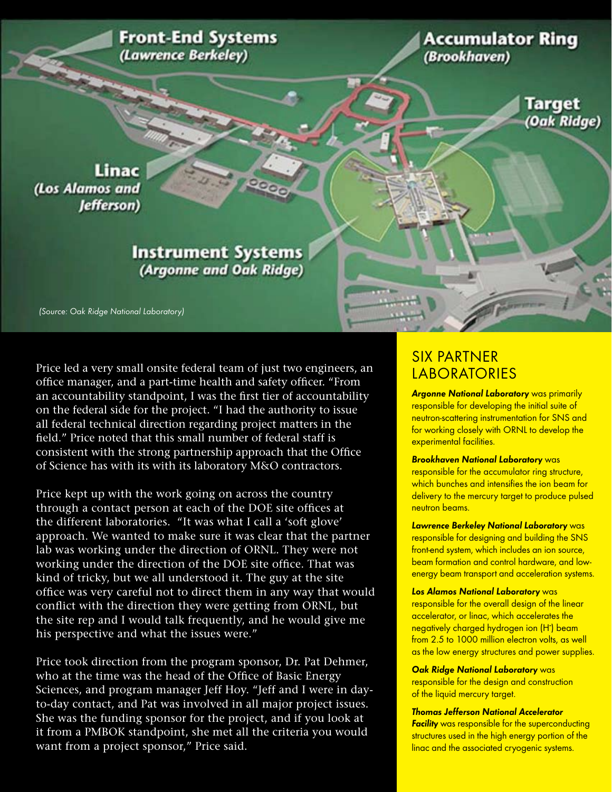**Front-End Systems** (Lawrence Berkeley)

**Accumulator Ring** (Brookhaven)

> **Target** (Oak Ridge)

Linac (Los Alamos and Jefferson)

#### **Instrument Systems** (Argonne and Oak Ridge)

(Source: Oak Ridge National Laboratory)

Price led a very small onsite federal team of just two engineers, an office manager, and a part-time health and safety officer. "From an accountability standpoint, I was the first tier of accountability on the federal side for the project. "I had the authority to issue all federal technical direction regarding project matters in the field." Price noted that this small number of federal staff is consistent with the strong partnership approach that the Office of Science has with its with its laboratory M&O contractors.

Price kept up with the work going on across the country through a contact person at each of the DOE site offices at the different laboratories. "It was what I call a 'soft glove' approach. We wanted to make sure it was clear that the partner lab was working under the direction of ORNL. They were not working under the direction of the DOE site office. That was kind of tricky, but we all understood it. The guy at the site office was very careful not to direct them in any way that would conflict with the direction they were getting from ORNL, but the site rep and I would talk frequently, and he would give me his perspective and what the issues were."

Price took direction from the program sponsor, Dr. Pat Dehmer, who at the time was the head of the Office of Basic Energy Sciences, and program manager Jeff Hoy. "Jeff and I were in dayto-day contact, and Pat was involved in all major project issues. She was the funding sponsor for the project, and if you look at it from a PMBOK standpoint, she met all the criteria you would want from a project sponsor," Price said.

#### Six Partner **LABORATORIES**

**Argonne National Laboratory** was primarily responsible for developing the initial suite of neutron-scattering instrumentation for SNS and for working closely with ORNL to develop the experimental facilities.

#### **Brookhaven National Laboratory** was

responsible for the accumulator ring structure, which bunches and intensifies the ion beam for delivery to the mercury target to produce pulsed neutron beams.

**Lawrence Berkeley National Laboratory** was responsible for designing and building the SNS front-end system, which includes an ion source, beam formation and control hardware, and lowenergy beam transport and acceleration systems.

#### **Los Alamos National Laboratory** was

responsible for the overall design of the linear accelerator, or linac, which accelerates the negatively charged hydrogen ion (H- ) beam from 2.5 to 1000 million electron volts, as well as the low energy structures and power supplies.

**Oak Ridge National Laboratory** was responsible for the design and construction of the liquid mercury target.

**Thomas Jefferson National Accelerator Facility** was responsible for the superconducting structures used in the high energy portion of the linac and the associated cryogenic systems.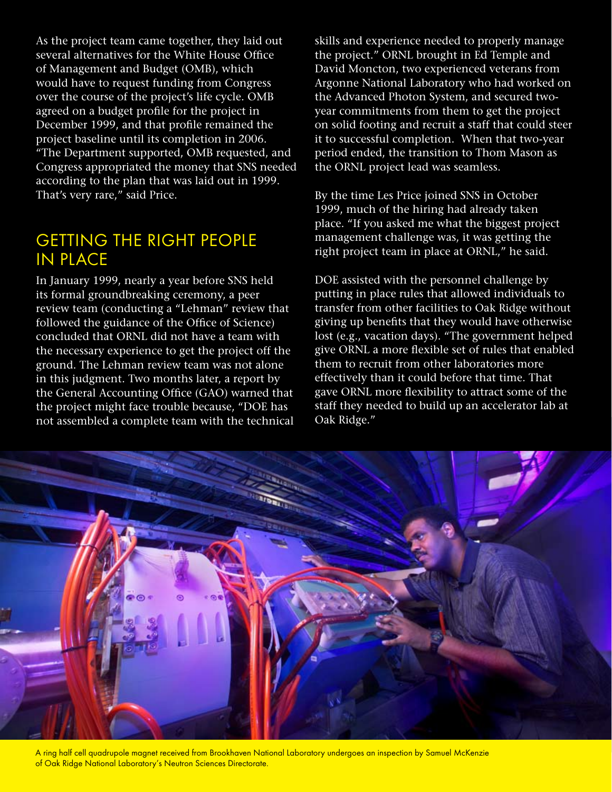As the project team came together, they laid out several alternatives for the White House Office of Management and Budget (OMB), which would have to request funding from Congress over the course of the project's life cycle. OMB agreed on a budget profile for the project in December 1999, and that profile remained the project baseline until its completion in 2006. "The Department supported, OMB requested, and Congress appropriated the money that SNS needed according to the plan that was laid out in 1999. That's very rare," said Price.

### Getting the Right People in Place

In January 1999, nearly a year before SNS held its formal groundbreaking ceremony, a peer review team (conducting a "Lehman" review that followed the guidance of the Office of Science) concluded that ORNL did not have a team with the necessary experience to get the project off the ground. The Lehman review team was not alone in this judgment. Two months later, a report by the General Accounting Office (GAO) warned that the project might face trouble because, "DOE has not assembled a complete team with the technical skills and experience needed to properly manage the project." ORNL brought in Ed Temple and David Moncton, two experienced veterans from Argonne National Laboratory who had worked on the Advanced Photon System, and secured twoyear commitments from them to get the project on solid footing and recruit a staff that could steer it to successful completion. When that two-year period ended, the transition to Thom Mason as the ORNL project lead was seamless.

By the time Les Price joined SNS in October 1999, much of the hiring had already taken place. "If you asked me what the biggest project management challenge was, it was getting the right project team in place at ORNL," he said.

DOE assisted with the personnel challenge by putting in place rules that allowed individuals to transfer from other facilities to Oak Ridge without giving up benefits that they would have otherwise lost (e.g., vacation days). "The government helped give ORNL a more flexible set of rules that enabled them to recruit from other laboratories more effectively than it could before that time. That gave ORNL more flexibility to attract some of the staff they needed to build up an accelerator lab at Oak Ridge."



A ring half cell quadrupole magnet received from Brookhaven National Laboratory undergoes an inspection by Samuel McKenzie of Oak Ridge National Laboratory's Neutron Sciences Directorate.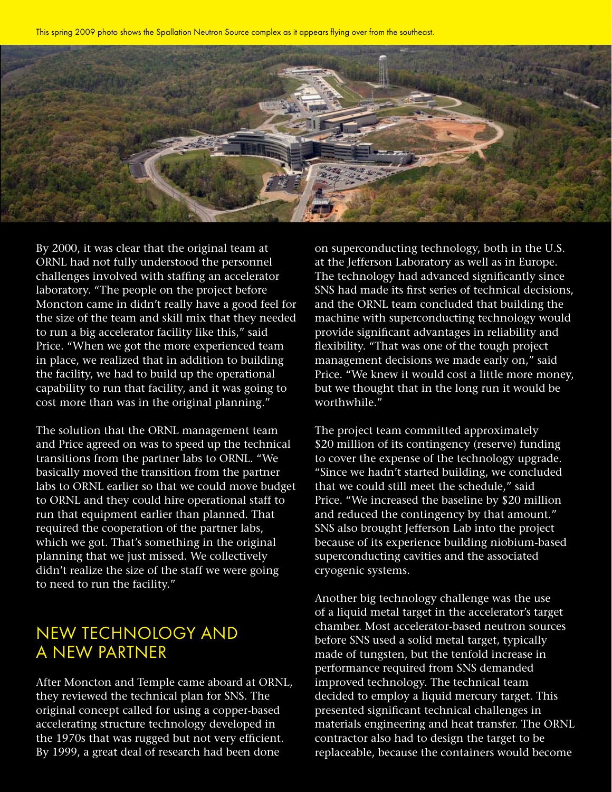This spring 2009 photo shows the Spallation Neutron Source complex as it appears flying over from the southeast.



By 2000, it was clear that the original team at ORNL had not fully understood the personnel challenges involved with staffing an accelerator laboratory. "The people on the project before Moncton came in didn't really have a good feel for the size of the team and skill mix that they needed to run a big accelerator facility like this," said Price. "When we got the more experienced team in place, we realized that in addition to building the facility, we had to build up the operational capability to run that facility, and it was going to cost more than was in the original planning."

The solution that the ORNL management team and Price agreed on was to speed up the technical transitions from the partner labs to ORNL. "We basically moved the transition from the partner labs to ORNL earlier so that we could move budget to ORNL and they could hire operational staff to run that equipment earlier than planned. That required the cooperation of the partner labs, which we got. That's something in the original planning that we just missed. We collectively didn't realize the size of the staff we were going to need to run the facility."

## New Technology and a New Partner

After Moncton and Temple came aboard at ORNL, they reviewed the technical plan for SNS. The original concept called for using a copper-based accelerating structure technology developed in the 1970s that was rugged but not very efficient. By 1999, a great deal of research had been done

on superconducting technology, both in the U.S. at the Jefferson Laboratory as well as in Europe. The technology had advanced significantly since SNS had made its first series of technical decisions, and the ORNL team concluded that building the machine with superconducting technology would provide significant advantages in reliability and flexibility. "That was one of the tough project management decisions we made early on," said Price. "We knew it would cost a little more money, but we thought that in the long run it would be worthwhile."

The project team committed approximately \$20 million of its contingency (reserve) funding to cover the expense of the technology upgrade. "Since we hadn't started building, we concluded that we could still meet the schedule," said Price. "We increased the baseline by \$20 million and reduced the contingency by that amount." SNS also brought Jefferson Lab into the project because of its experience building niobium-based superconducting cavities and the associated cryogenic systems.

Another big technology challenge was the use of a liquid metal target in the accelerator's target chamber. Most accelerator-based neutron sources before SNS used a solid metal target, typically made of tungsten, but the tenfold increase in performance required from SNS demanded improved technology. The technical team decided to employ a liquid mercury target. This presented significant technical challenges in materials engineering and heat transfer. The ORNL contractor also had to design the target to be replaceable, because the containers would become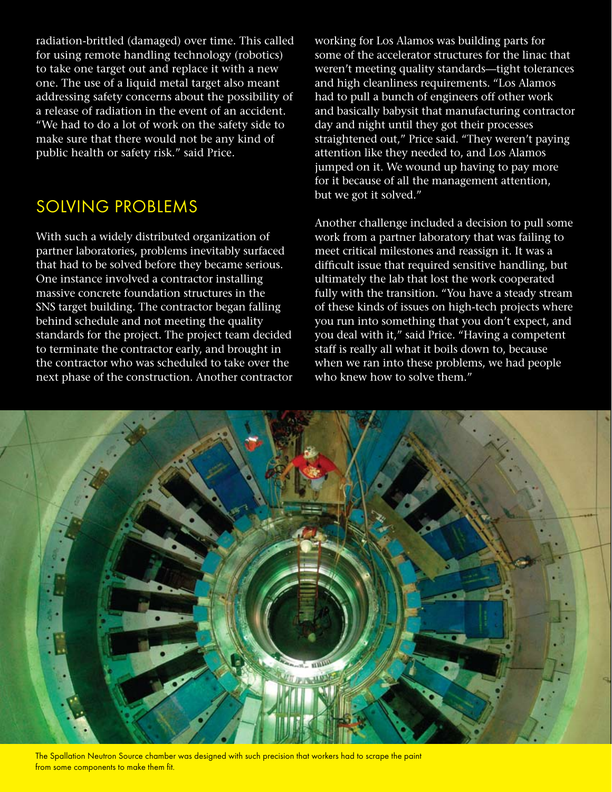radiation-brittled (damaged) over time. This called for using remote handling technology (robotics) to take one target out and replace it with a new one. The use of a liquid metal target also meant addressing safety concerns about the possibility of a release of radiation in the event of an accident. "We had to do a lot of work on the safety side to make sure that there would not be any kind of public health or safety risk." said Price.

# Solving Problems

With such a widely distributed organization of partner laboratories, problems inevitably surfaced that had to be solved before they became serious. One instance involved a contractor installing massive concrete foundation structures in the SNS target building. The contractor began falling behind schedule and not meeting the quality standards for the project. The project team decided to terminate the contractor early, and brought in the contractor who was scheduled to take over the next phase of the construction. Another contractor working for Los Alamos was building parts for some of the accelerator structures for the linac that weren't meeting quality standards—tight tolerances and high cleanliness requirements. "Los Alamos had to pull a bunch of engineers off other work and basically babysit that manufacturing contractor day and night until they got their processes straightened out," Price said. "They weren't paying attention like they needed to, and Los Alamos jumped on it. We wound up having to pay more for it because of all the management attention, but we got it solved."

Another challenge included a decision to pull some work from a partner laboratory that was failing to meet critical milestones and reassign it. It was a difficult issue that required sensitive handling, but ultimately the lab that lost the work cooperated fully with the transition. "You have a steady stream of these kinds of issues on high-tech projects where you run into something that you don't expect, and you deal with it," said Price. "Having a competent staff is really all what it boils down to, because when we ran into these problems, we had people who knew how to solve them."



The Spallation Neutron Source chamber was designed with such precision that workers had to scrape the paint from some components to make them fit.